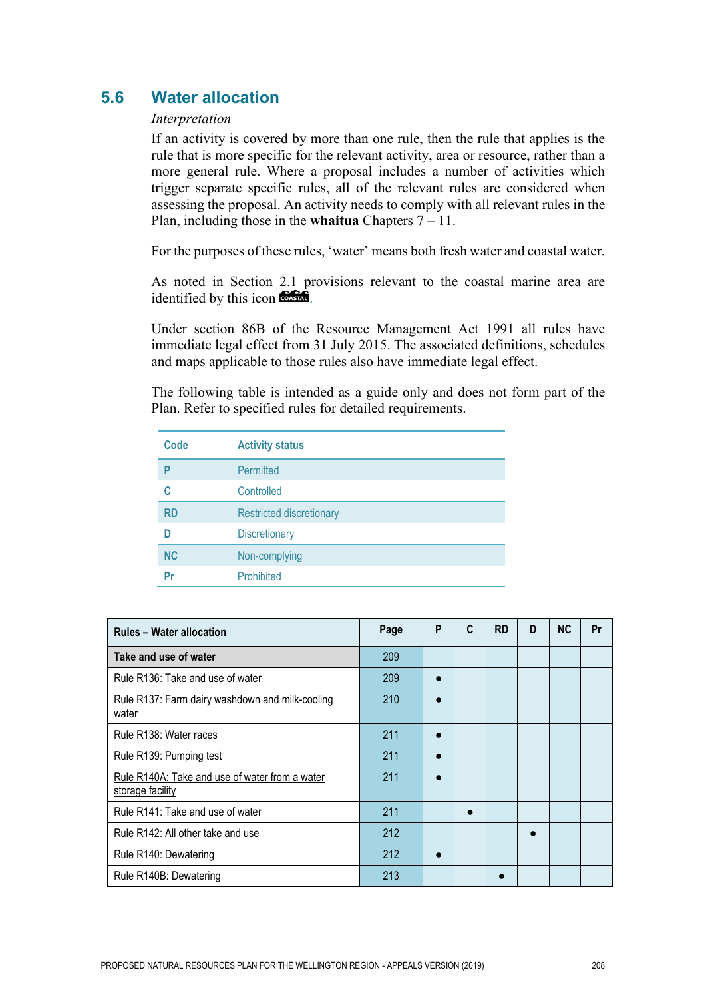# **5.6 Water allocation**

#### *Interpretation*

If an activity is covered by more than one rule, then the rule that applies is the rule that is more specific for the relevant activity, area or resource, rather than a more general rule. Where a proposal includes a number of activities which trigger separate specific rules, all of the relevant rules are considered when assessing the proposal. An activity needs to comply with all relevant rules in the Plan, including those in the **whaitua** Chapters 7 – 11.

For the purposes of these rules, 'water' means both fresh water and coastal water.

As noted in Section 2.1 provisions relevant to the coastal marine area are identified by this icon **the state**.

Under section 86B of the Resource Management Act 1991 all rules have immediate legal effect from 31 July 2015. The associated definitions, schedules and maps applicable to those rules also have immediate legal effect.

The following table is intended as a guide only and does not form part of the Plan. Refer to specified rules for detailed requirements.

| Code      | <b>Activity status</b>          |
|-----------|---------------------------------|
| P         | Permitted                       |
| C         | Controlled                      |
| <b>RD</b> | <b>Restricted discretionary</b> |
| D         | <b>Discretionary</b>            |
| <b>NC</b> | Non-complying                   |
| Pr        | Prohibited                      |

| <b>Rules - Water allocation</b>                                    | Page | P | C | <b>RD</b> | D | <b>NC</b> | Pr |
|--------------------------------------------------------------------|------|---|---|-----------|---|-----------|----|
| Take and use of water                                              | 209  |   |   |           |   |           |    |
| Rule R136: Take and use of water                                   | 209  |   |   |           |   |           |    |
| Rule R137: Farm dairy washdown and milk-cooling<br>water           | 210  |   |   |           |   |           |    |
| Rule R138: Water races                                             | 211  |   |   |           |   |           |    |
| Rule R139: Pumping test                                            | 211  |   |   |           |   |           |    |
| Rule R140A: Take and use of water from a water<br>storage facility | 211  |   |   |           |   |           |    |
| Rule R141: Take and use of water                                   | 211  |   |   |           |   |           |    |
| Rule R142: All other take and use                                  | 212  |   |   |           |   |           |    |
| Rule R140: Dewatering                                              | 212  |   |   |           |   |           |    |
| Rule R140B: Dewatering                                             | 213  |   |   |           |   |           |    |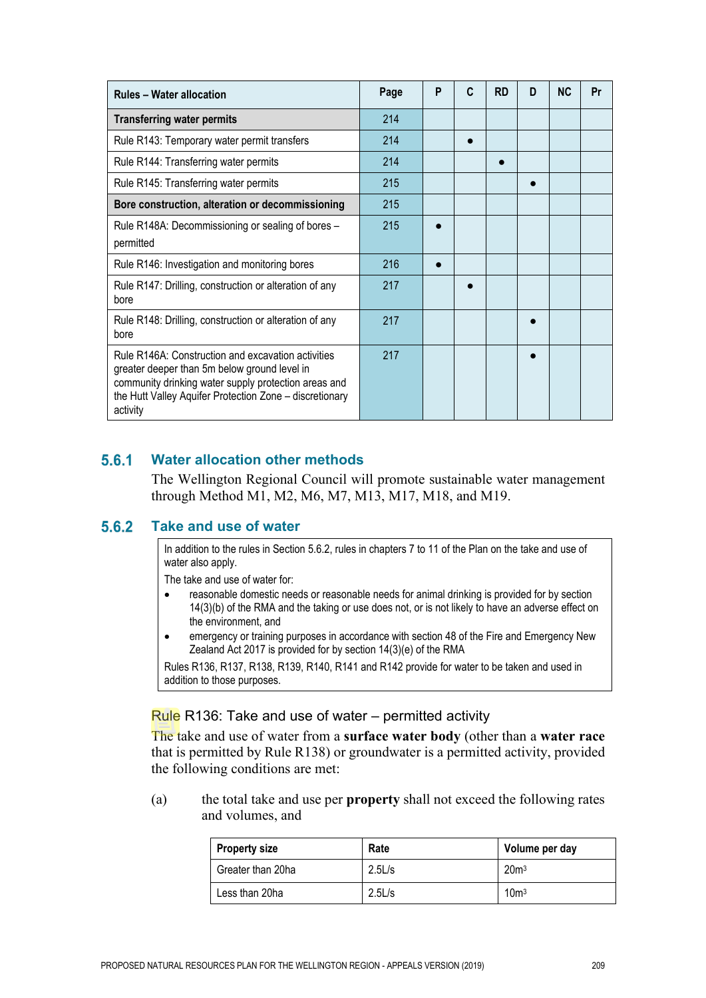| <b>Rules - Water allocation</b>                                                                                                                                                                                                   | Page | P | C | <b>RD</b> | D | <b>NC</b> | Pr |
|-----------------------------------------------------------------------------------------------------------------------------------------------------------------------------------------------------------------------------------|------|---|---|-----------|---|-----------|----|
| <b>Transferring water permits</b>                                                                                                                                                                                                 | 214  |   |   |           |   |           |    |
| Rule R143: Temporary water permit transfers                                                                                                                                                                                       | 214  |   |   |           |   |           |    |
| Rule R144: Transferring water permits                                                                                                                                                                                             | 214  |   |   |           |   |           |    |
| Rule R145: Transferring water permits                                                                                                                                                                                             | 215  |   |   |           |   |           |    |
| Bore construction, alteration or decommissioning                                                                                                                                                                                  | 215  |   |   |           |   |           |    |
| Rule R148A: Decommissioning or sealing of bores -<br>permitted                                                                                                                                                                    | 215  |   |   |           |   |           |    |
| Rule R146: Investigation and monitoring bores                                                                                                                                                                                     | 216  |   |   |           |   |           |    |
| Rule R147: Drilling, construction or alteration of any<br>bore                                                                                                                                                                    | 217  |   |   |           |   |           |    |
| Rule R148: Drilling, construction or alteration of any<br>bore                                                                                                                                                                    | 217  |   |   |           |   |           |    |
| Rule R146A: Construction and excavation activities<br>greater deeper than 5m below ground level in<br>community drinking water supply protection areas and<br>the Hutt Valley Aquifer Protection Zone - discretionary<br>activity | 217  |   |   |           |   |           |    |

#### $5.6.1$ **Water allocation other methods**

The Wellington Regional Council will promote sustainable water management through Method M1, M2, M6, M7, M13, M17, M18, and M19.

#### $5.6.2$ **Take and use of water**

In addition to the rules in Section 5.6.2, rules in chapters 7 to 11 of the Plan on the take and use of water also apply.

The take and use of water for:

- reasonable domestic needs or reasonable needs for animal drinking is provided for by section 14(3)(b) of the RMA and the taking or use does not, or is not likely to have an adverse effect on the environment, and
- emergency or training purposes in accordance with section 48 of the Fire and Emergency New Zealand Act 2017 is provided for by section 14(3)(e) of the RMA

Rules R136, R137, R138, R139, R140, R141 and R142 provide for water to be taken and used in addition to those purposes.

#### Rule R136: Take and use of water – permitted activity

The take and use of water from a **surface water body** (other than a **water race** that is permitted by Rule R138) or groundwater is a permitted activity, provided the following conditions are met:

(a) the total take and use per **property** shall not exceed the following rates and volumes, and

| <b>Property size</b> | Rate   | Volume per day   |
|----------------------|--------|------------------|
| Greater than 20ha    | 2.5L/s | 20 <sup>m3</sup> |
| Less than 20ha       | 2.5L/s | 10 <sup>m3</sup> |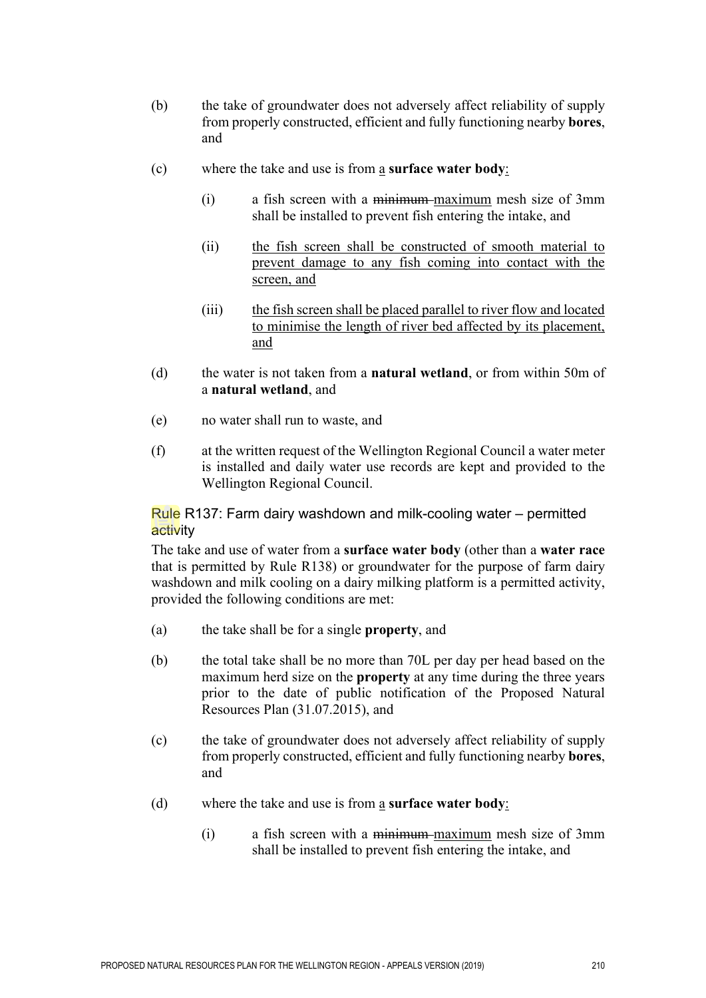- (b) the take of groundwater does not adversely affect reliability of supply from properly constructed, efficient and fully functioning nearby **bores**, and
- (c) where the take and use is from a **surface water body**:
	- (i) a fish screen with a minimum maximum mesh size of 3mm shall be installed to prevent fish entering the intake, and
	- (ii) the fish screen shall be constructed of smooth material to prevent damage to any fish coming into contact with the screen, and
	- (iii) the fish screen shall be placed parallel to river flow and located to minimise the length of river bed affected by its placement, and
- (d) the water is not taken from a **natural wetland**, or from within 50m of a **natural wetland**, and
- (e) no water shall run to waste, and
- (f) at the written request of the Wellington Regional Council a water meter is installed and daily water use records are kept and provided to the Wellington Regional Council.

Rule R137: Farm dairy washdown and milk-cooling water – permitted activity

The take and use of water from a **surface water body** (other than a **water race** that is permitted by Rule R138) or groundwater for the purpose of farm dairy washdown and milk cooling on a dairy milking platform is a permitted activity, provided the following conditions are met:

- (a) the take shall be for a single **property**, and
- (b) the total take shall be no more than 70L per day per head based on the maximum herd size on the **property** at any time during the three years prior to the date of public notification of the Proposed Natural Resources Plan (31.07.2015), and
- (c) the take of groundwater does not adversely affect reliability of supply from properly constructed, efficient and fully functioning nearby **bores**, and
- (d) where the take and use is from a **surface water body**:
	- (i) a fish screen with a minimum maximum mesh size of 3mm shall be installed to prevent fish entering the intake, and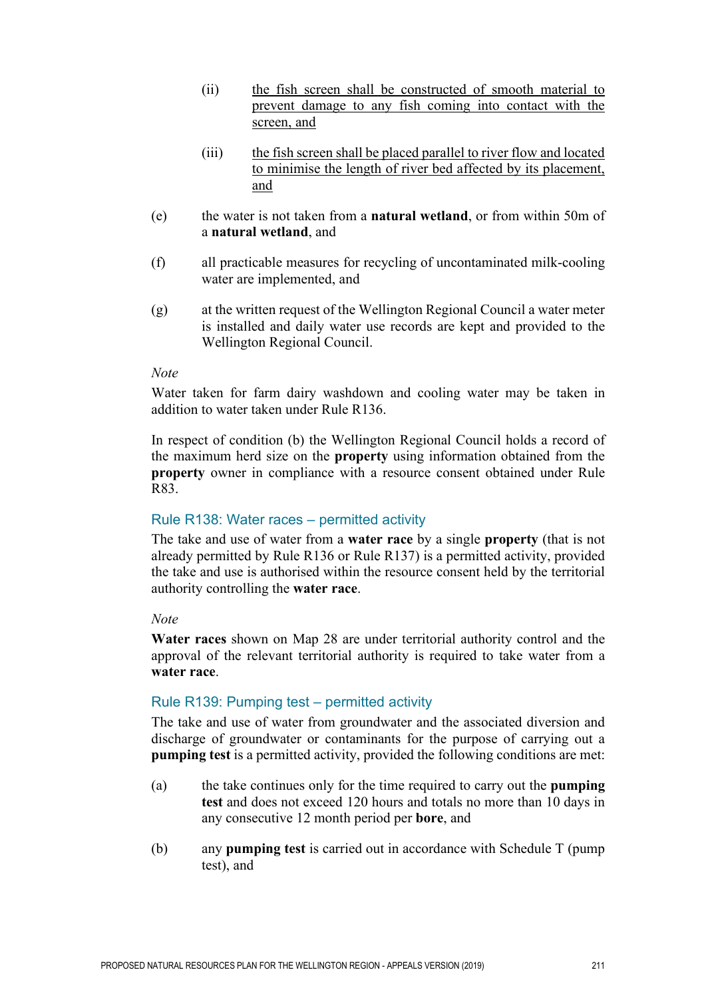- (ii) the fish screen shall be constructed of smooth material to prevent damage to any fish coming into contact with the screen, and
- (iii) the fish screen shall be placed parallel to river flow and located to minimise the length of river bed affected by its placement, and
- (e) the water is not taken from a **natural wetland**, or from within 50m of a **natural wetland**, and
- (f) all practicable measures for recycling of uncontaminated milk-cooling water are implemented, and
- (g) at the written request of the Wellington Regional Council a water meter is installed and daily water use records are kept and provided to the Wellington Regional Council.

#### *Note*

Water taken for farm dairy washdown and cooling water may be taken in addition to water taken under Rule R136.

In respect of condition (b) the Wellington Regional Council holds a record of the maximum herd size on the **property** using information obtained from the **property** owner in compliance with a resource consent obtained under Rule R83.

#### Rule R138: Water races – permitted activity

The take and use of water from a **water race** by a single **property** (that is not already permitted by Rule R136 or Rule R137) is a permitted activity, provided the take and use is authorised within the resource consent held by the territorial authority controlling the **water race**.

#### *Note*

**Water races** shown on Map 28 are under territorial authority control and the approval of the relevant territorial authority is required to take water from a **water race**.

#### Rule R139: Pumping test – permitted activity

The take and use of water from groundwater and the associated diversion and discharge of groundwater or contaminants for the purpose of carrying out a **pumping test** is a permitted activity, provided the following conditions are met:

- (a) the take continues only for the time required to carry out the **pumping test** and does not exceed 120 hours and totals no more than 10 days in any consecutive 12 month period per **bore**, and
- (b) any **pumping test** is carried out in accordance with Schedule T (pump test), and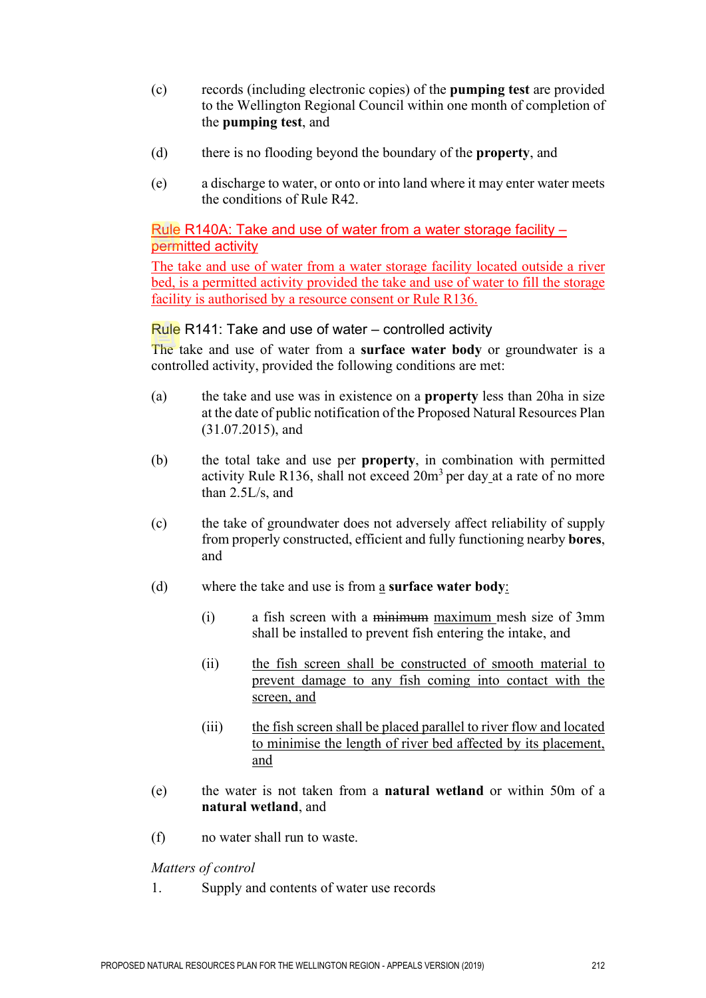- (c) records (including electronic copies) of the **pumping test** are provided to the Wellington Regional Council within one month of completion of the **pumping test**, and
- (d) there is no flooding beyond the boundary of the **property**, and
- (e) a discharge to water, or onto or into land where it may enter water meets the conditions of Rule R42.

## Rule R140A: Take and use of water from a water storage facility – permitted activity

The take and use of water from a water storage facility located outside a river bed, is a permitted activity provided the take and use of water to fill the storage facility is authorised by a resource consent or Rule R136.

#### Rule R141: Take and use of water – controlled activity

The take and use of water from a **surface water body** or groundwater is a controlled activity, provided the following conditions are met:

- (a) the take and use was in existence on a **property** less than 20ha in size at the date of public notification of the Proposed Natural Resources Plan (31.07.2015), and
- (b) the total take and use per **property**, in combination with permitted activity Rule R136, shall not exceed  $20m<sup>3</sup>$  per day at a rate of no more than 2.5L/s, and
- (c) the take of groundwater does not adversely affect reliability of supply from properly constructed, efficient and fully functioning nearby **bores**, and
- (d) where the take and use is from a **surface water body**:
	- (i) a fish screen with a minimum maximum mesh size of 3mm shall be installed to prevent fish entering the intake, and
	- (ii) the fish screen shall be constructed of smooth material to prevent damage to any fish coming into contact with the screen, and
	- (iii) the fish screen shall be placed parallel to river flow and located to minimise the length of river bed affected by its placement, and
- (e) the water is not taken from a **natural wetland** or within 50m of a **natural wetland**, and
- (f) no water shall run to waste.

*Matters of control* 

1. Supply and contents of water use records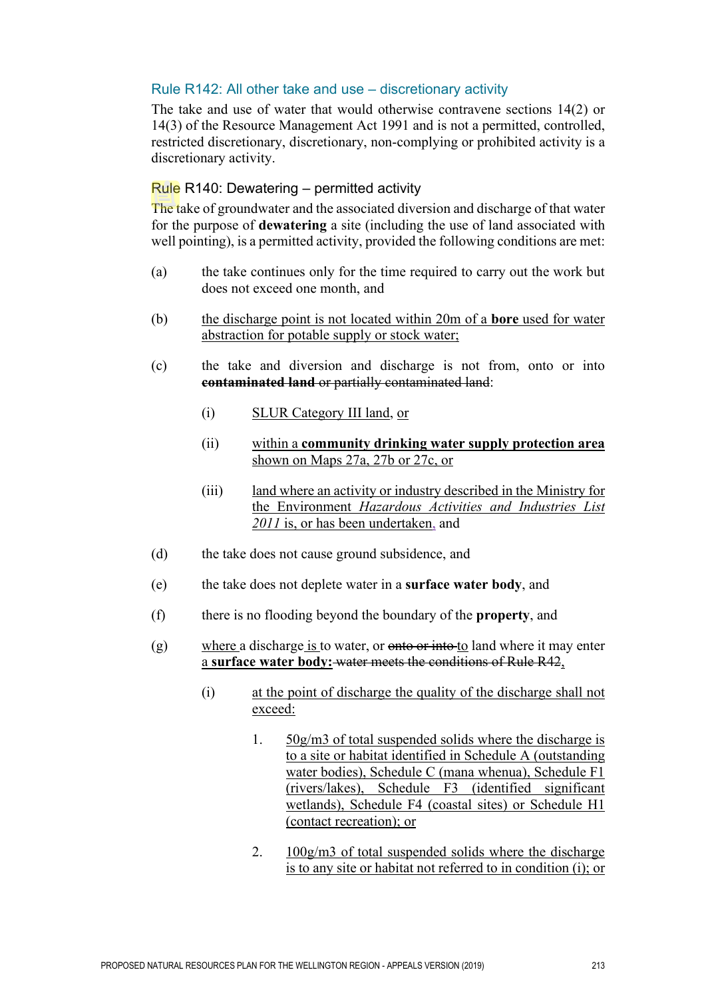## Rule R142: All other take and use – discretionary activity

The take and use of water that would otherwise contravene sections 14(2) or 14(3) of the Resource Management Act 1991 and is not a permitted, controlled, restricted discretionary, discretionary, non-complying or prohibited activity is a discretionary activity.

## Rule R140: Dewatering – permitted activity

The take of groundwater and the associated diversion and discharge of that water for the purpose of **dewatering** a site (including the use of land associated with well pointing), is a permitted activity, provided the following conditions are met:

- (a) the take continues only for the time required to carry out the work but does not exceed one month, and
- (b) the discharge point is not located within 20m of a **bore** used for water abstraction for potable supply or stock water;
- (c) the take and diversion and discharge is not from, onto or into **contaminated land** or partially contaminated land:
	- (i) SLUR Category III land, or
	- (ii) within a **community drinking water supply protection area**  shown on Maps 27a, 27b or 27c, or
	- (iii) land where an activity or industry described in the Ministry for the Environment *Hazardous Activities and Industries List 2011* is, or has been undertaken, and
- (d) the take does not cause ground subsidence, and
- (e) the take does not deplete water in a **surface water body**, and
- (f) there is no flooding beyond the boundary of the **property**, and
- $(g)$  where a discharge is to water, or <del>onto or into t</del>o land where it may enter a **surface water body:** water meets the conditions of Rule R42,
	- (i) at the point of discharge the quality of the discharge shall not exceed:
		- 1. 50g/m3 of total suspended solids where the discharge is to a site or habitat identified in Schedule A (outstanding water bodies), Schedule C (mana whenua), Schedule F1 (rivers/lakes), Schedule F3 (identified significant wetlands), Schedule F4 (coastal sites) or Schedule H1 (contact recreation); or
		- 2. 100g/m3 of total suspended solids where the discharge is to any site or habitat not referred to in condition (i); or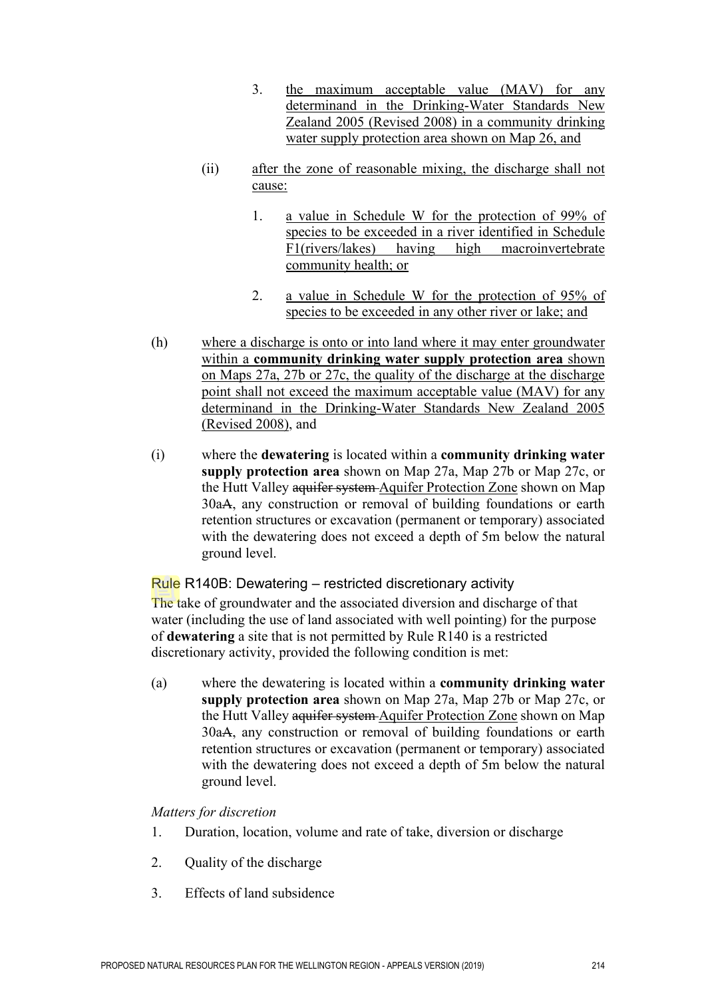- 3. the maximum acceptable value (MAV) for any determinand in the Drinking-Water Standards New Zealand 2005 (Revised 2008) in a community drinking water supply protection area shown on Map 26, and
- (ii) after the zone of reasonable mixing, the discharge shall not cause:
	- 1. a value in Schedule W for the protection of 99% of species to be exceeded in a river identified in Schedule F1(rivers/lakes) having high macroinvertebrate community health; or
	- 2. a value in Schedule W for the protection of 95% of species to be exceeded in any other river or lake; and
- (h) where a discharge is onto or into land where it may enter groundwater within a **community drinking water supply protection area** shown on Maps 27a, 27b or 27c, the quality of the discharge at the discharge point shall not exceed the maximum acceptable value (MAV) for any determinand in the Drinking-Water Standards New Zealand 2005 (Revised 2008), and
- (i) where the **dewatering** is located within a **community drinking water supply protection area** shown on Map 27a, Map 27b or Map 27c, or the Hutt Valley aquifer system Aquifer Protection Zone shown on Map 30aA, any construction or removal of building foundations or earth retention structures or excavation (permanent or temporary) associated with the dewatering does not exceed a depth of 5m below the natural ground level.

## Rule R140B: Dewatering – restricted discretionary activity

The take of groundwater and the associated diversion and discharge of that water (including the use of land associated with well pointing) for the purpose of **dewatering** a site that is not permitted by Rule R140 is a restricted discretionary activity, provided the following condition is met:

(a) where the dewatering is located within a **community drinking water supply protection area** shown on Map 27a, Map 27b or Map 27c, or the Hutt Valley aquifer system Aquifer Protection Zone shown on Map 30aA, any construction or removal of building foundations or earth retention structures or excavation (permanent or temporary) associated with the dewatering does not exceed a depth of 5m below the natural ground level.

#### *Matters for discretion*

- 1. Duration, location, volume and rate of take, diversion or discharge
- 2. Quality of the discharge
- 3. Effects of land subsidence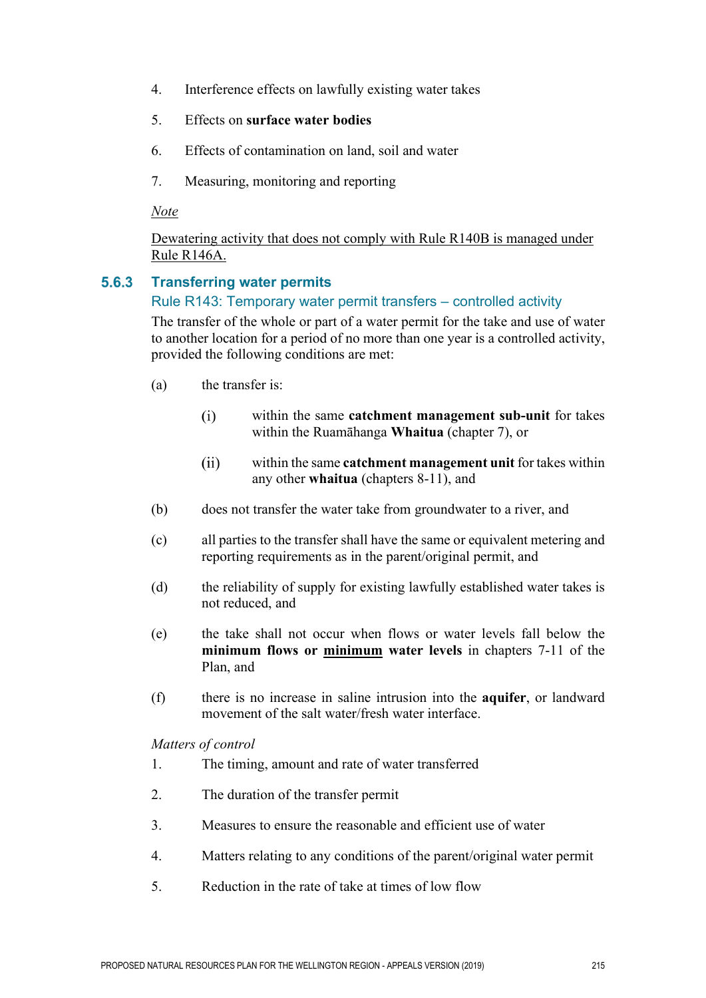- 4. Interference effects on lawfully existing water takes
- 5. Effects on **surface water bodies**
- 6. Effects of contamination on land, soil and water
- 7. Measuring, monitoring and reporting

*Note*

Dewatering activity that does not comply with Rule R140B is managed under Rule R146A.

#### $5.6.3$ **Transferring water permits**

## Rule R143: Temporary water permit transfers – controlled activity

The transfer of the whole or part of a water permit for the take and use of water to another location for a period of no more than one year is a controlled activity, provided the following conditions are met:

- (a) the transfer is:
	- within the same **catchment management sub-unit** for takes  $(i)$ within the Ruamāhanga **Whaitua** (chapter 7), or
	- $(ii)$ within the same **catchment management unit** for takes within any other **whaitua** (chapters 8-11), and
- (b) does not transfer the water take from groundwater to a river, and
- (c) all parties to the transfer shall have the same or equivalent metering and reporting requirements as in the parent/original permit, and
- (d) the reliability of supply for existing lawfully established water takes is not reduced, and
- (e) the take shall not occur when flows or water levels fall below the **minimum flows or minimum water levels** in chapters 7-11 of the Plan, and
- (f) there is no increase in saline intrusion into the **aquifer**, or landward movement of the salt water/fresh water interface.

*Matters of control*

- 1. The timing, amount and rate of water transferred
- 2. The duration of the transfer permit
- 3. Measures to ensure the reasonable and efficient use of water
- 4. Matters relating to any conditions of the parent/original water permit
- 5. Reduction in the rate of take at times of low flow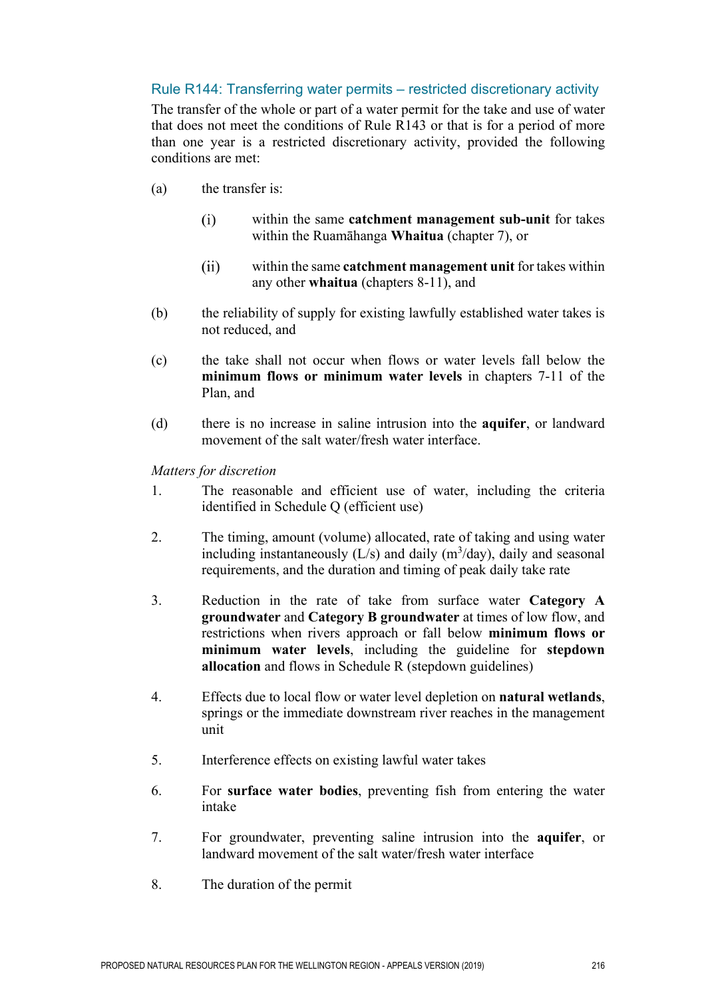## Rule R144: Transferring water permits – restricted discretionary activity

The transfer of the whole or part of a water permit for the take and use of water that does not meet the conditions of Rule R143 or that is for a period of more than one year is a restricted discretionary activity, provided the following conditions are met:

- (a) the transfer is:
	- within the same **catchment management sub-unit** for takes  $(i)$ within the Ruamāhanga **Whaitua** (chapter 7), or
	- $(ii)$ within the same **catchment management unit** for takes within any other **whaitua** (chapters 8-11), and
- (b) the reliability of supply for existing lawfully established water takes is not reduced, and
- (c) the take shall not occur when flows or water levels fall below the **minimum flows or minimum water levels** in chapters 7-11 of the Plan, and
- (d) there is no increase in saline intrusion into the **aquifer**, or landward movement of the salt water/fresh water interface.

*Matters for discretion*

- 1. The reasonable and efficient use of water, including the criteria identified in Schedule Q (efficient use)
- 2. The timing, amount (volume) allocated, rate of taking and using water including instantaneously  $(L/s)$  and daily  $(m<sup>3</sup>/day)$ , daily and seasonal requirements, and the duration and timing of peak daily take rate
- 3. Reduction in the rate of take from surface water **Category A groundwater** and **Category B groundwater** at times of low flow, and restrictions when rivers approach or fall below **minimum flows or minimum water levels**, including the guideline for **stepdown allocation** and flows in Schedule R (stepdown guidelines)
- 4. Effects due to local flow or water level depletion on **natural wetlands**, springs or the immediate downstream river reaches in the management unit
- 5. Interference effects on existing lawful water takes
- 6. For **surface water bodies**, preventing fish from entering the water intake
- 7. For groundwater, preventing saline intrusion into the **aquifer**, or landward movement of the salt water/fresh water interface
- 8. The duration of the permit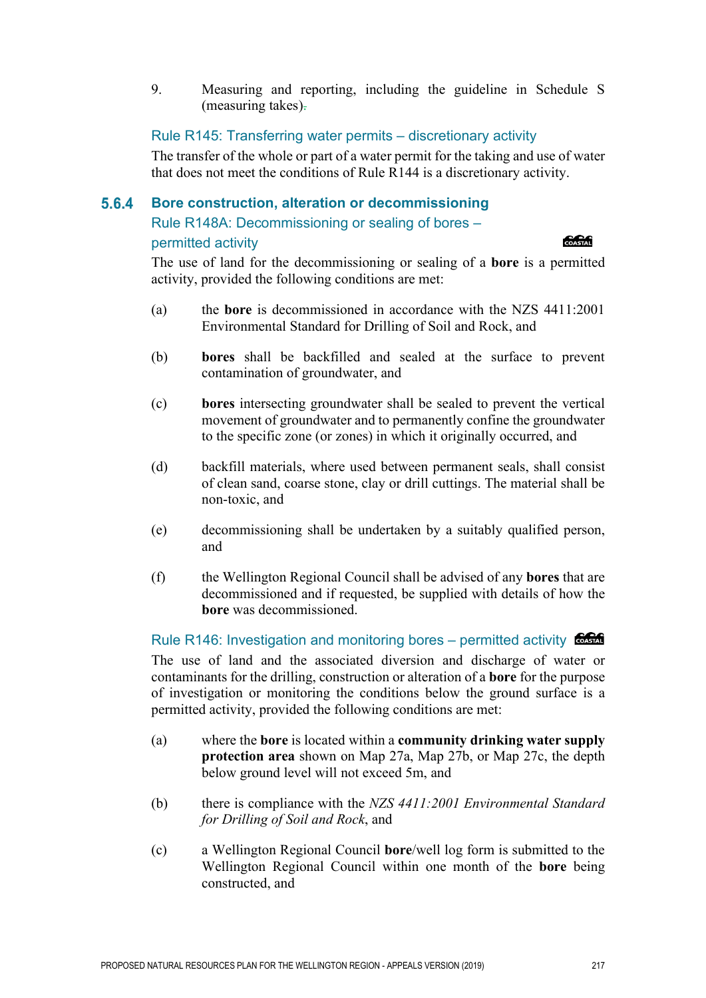9. Measuring and reporting, including the guideline in Schedule S (measuring takes).

Rule R145: Transferring water permits – discretionary activity

The transfer of the whole or part of a water permit for the taking and use of water that does not meet the conditions of Rule R144 is a discretionary activity.

#### 5.6.4 **Bore construction, alteration or decommissioning**

Rule R148A: Decommissioning or sealing of bores –

## permitted activity

#### **CACAG**

The use of land for the decommissioning or sealing of a **bore** is a permitted activity, provided the following conditions are met:

- (a) the **bore** is decommissioned in accordance with the NZS 4411:2001 Environmental Standard for Drilling of Soil and Rock, and
- (b) **bores** shall be backfilled and sealed at the surface to prevent contamination of groundwater, and
- (c) **bores** intersecting groundwater shall be sealed to prevent the vertical movement of groundwater and to permanently confine the groundwater to the specific zone (or zones) in which it originally occurred, and
- (d) backfill materials, where used between permanent seals, shall consist of clean sand, coarse stone, clay or drill cuttings. The material shall be non-toxic, and
- (e) decommissioning shall be undertaken by a suitably qualified person, and
- (f) the Wellington Regional Council shall be advised of any **bores** that are decommissioned and if requested, be supplied with details of how the **bore** was decommissioned.

Rule R146: Investigation and monitoring bores – permitted activity The use of land and the associated diversion and discharge of water or contaminants for the drilling, construction or alteration of a **bore** for the purpose of investigation or monitoring the conditions below the ground surface is a permitted activity, provided the following conditions are met:

- (a) where the **bore** is located within a **community drinking water supply protection area** shown on Map 27a, Map 27b, or Map 27c, the depth below ground level will not exceed 5m, and
- (b) there is compliance with the *NZS 4411:2001 Environmental Standard for Drilling of Soil and Rock*, and
- (c) a Wellington Regional Council **bore**/well log form is submitted to the Wellington Regional Council within one month of the **bore** being constructed, and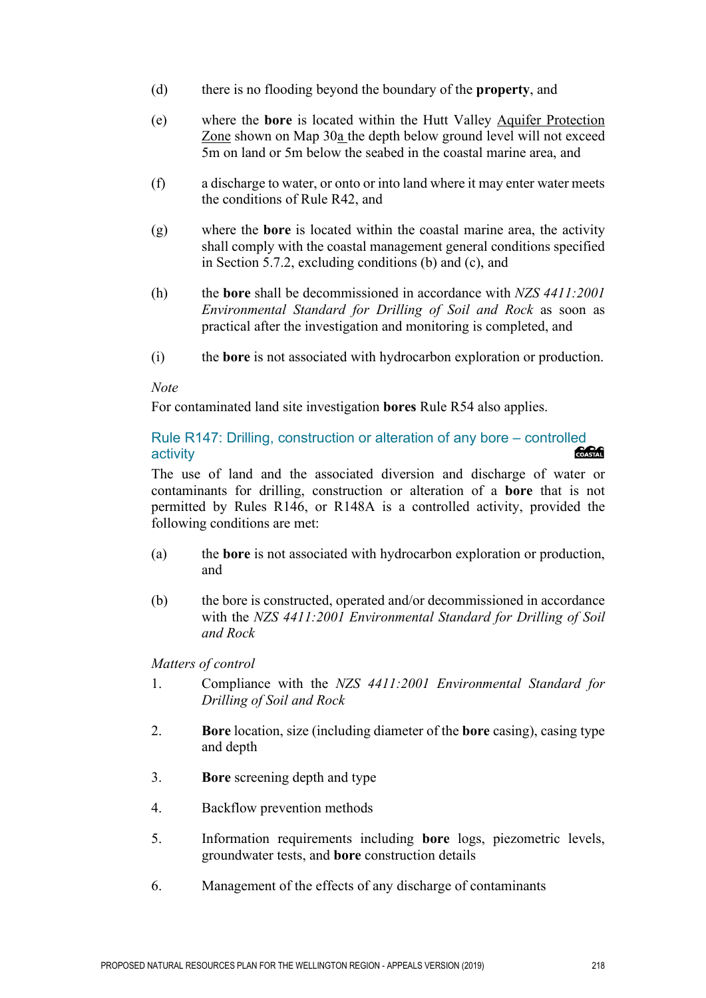- (d) there is no flooding beyond the boundary of the **property**, and
- (e) where the **bore** is located within the Hutt Valley Aquifer Protection Zone shown on Map 30a the depth below ground level will not exceed 5m on land or 5m below the seabed in the coastal marine area, and
- (f) a discharge to water, or onto or into land where it may enter water meets the conditions of Rule R42, and
- (g) where the **bore** is located within the coastal marine area, the activity shall comply with the coastal management general conditions specified in Section 5.7.2, excluding conditions (b) and (c), and
- (h) the **bore** shall be decommissioned in accordance with *NZS 4411:2001 Environmental Standard for Drilling of Soil and Rock* as soon as practical after the investigation and monitoring is completed, and
- (i) the **bore** is not associated with hydrocarbon exploration or production.

#### *Note*

For contaminated land site investigation **bores** Rule R54 also applies.

## Rule R147: Drilling, construction or alteration of any bore – controlled<br>activity activity

The use of land and the associated diversion and discharge of water or contaminants for drilling, construction or alteration of a **bore** that is not permitted by Rules R146, or R148A is a controlled activity, provided the following conditions are met:

- (a) the **bore** is not associated with hydrocarbon exploration or production, and
- (b) the bore is constructed, operated and/or decommissioned in accordance with the *NZS 4411:2001 Environmental Standard for Drilling of Soil and Rock*

*Matters of control* 

- 1. Compliance with the *NZS 4411:2001 Environmental Standard for Drilling of Soil and Rock*
- 2. **Bore** location, size (including diameter of the **bore** casing), casing type and depth
- 3. **Bore** screening depth and type
- 4. Backflow prevention methods
- 5. Information requirements including **bore** logs, piezometric levels, groundwater tests, and **bore** construction details
- 6. Management of the effects of any discharge of contaminants